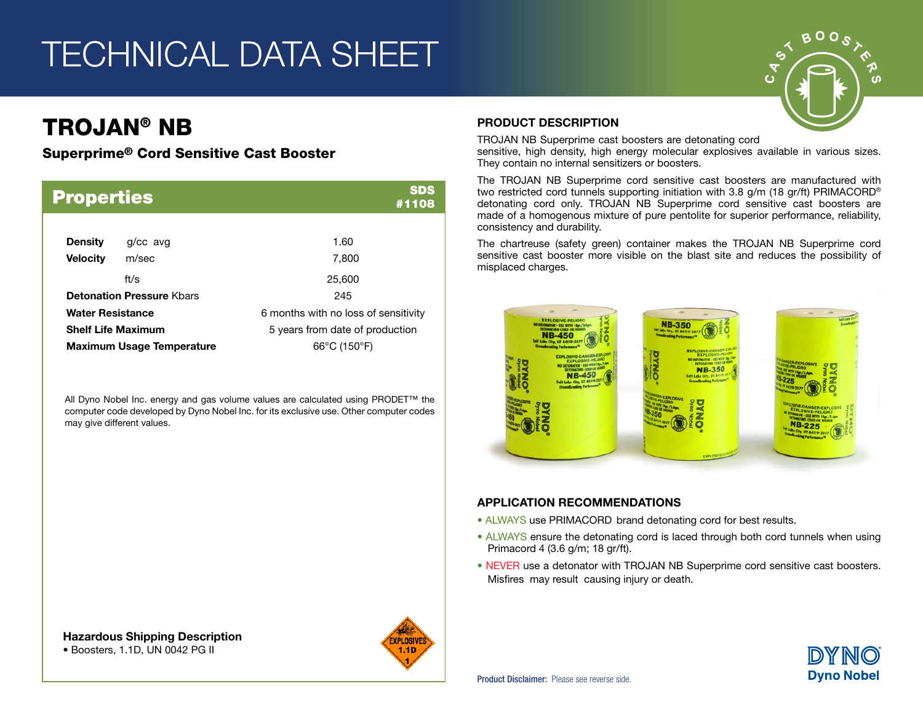## TECHNICAL DATA SHEET

## TROJAN® NB

#### Superprime® Cord Sensitive Cast Booster

| <b>Properties</b>                 |                                  | <b>SDS</b><br>#1108                  |  |  |  |  |
|-----------------------------------|----------------------------------|--------------------------------------|--|--|--|--|
| <b>Density</b><br><b>Velocity</b> | g/cc avg<br>m/sec                | 1.60<br>7,800                        |  |  |  |  |
|                                   | ft/ $\mathbf{s}$                 | 25,600                               |  |  |  |  |
|                                   | <b>Detonation Pressure Khars</b> | 245                                  |  |  |  |  |
| <b>Water Resistance</b>           |                                  | 6 months with no loss of sensitivity |  |  |  |  |
| <b>Shelf Life Maximum</b>         |                                  | 5 years from date of production      |  |  |  |  |
|                                   | <b>Maximum Usage Temperature</b> | $66^{\circ}$ C (150 $^{\circ}$ F)    |  |  |  |  |

All Dyno Nobel Inc. energy and gas volume values are calculated using PRODET™ the computer code developed by Dyno Nobel Inc. for its exclusive use. Other computer codes may give different values.

PRODUCT DESCRIPTION

TROJAN NB Superprime cast boosters are detonating cord sensitive, high density, high energy molecular explosives available in various sizes. They contain no internal sensitizers or boosters.

The TROJAN NB Superprime cord sensitive cast boosters are manufactured with two restricted cord tunnels supporting initiation with 3.8 g/m (18 gr/ft) PRIMACORD® detonating cord only. TROJAN NB Superprime cord sensitive cast boosters are made of a homogenous mixture of pure pentolite for superior performance, reliability, consistency and durability.

The chartreuse (safety green) container makes the TROJAN NB Superprime cord sensitive cast booster more visible on the blast site and reduces the possibility of misplaced charges.



#### APPLICATION RECOMMENDATIONS

- ALWAYS use PRIMACORD brand detonating cord for best results.
- ALWAYS ensure the detonating cord is laced through both cord tunnels when using Primacord 4 (3.6 g/m; 18 gr/ft).
- NEVER use a detonator with TROJAN NB Superprime cord sensitive cast boosters. Misfires may result causing injury or death.



Hazardous Shipping Description • Boosters, 1.1D, UN 0042 PG II